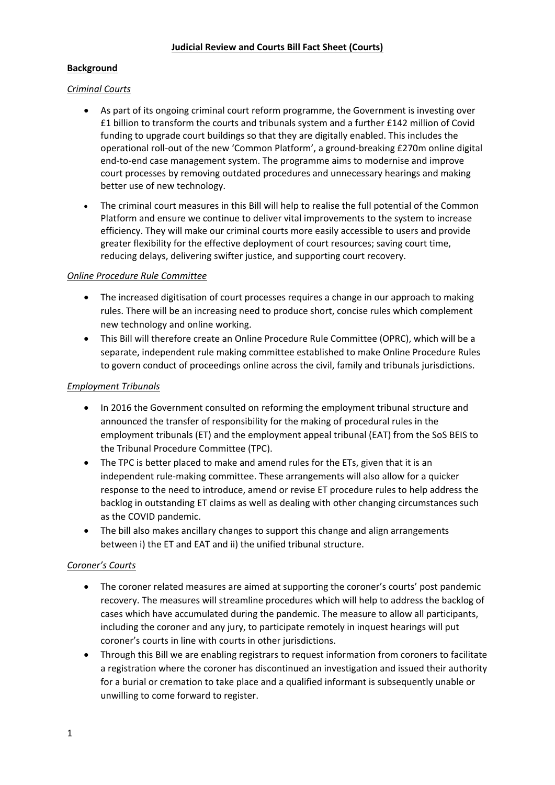### **Background**

#### *Criminal Courts*

- As part of its ongoing criminal court reform programme, the Government is investing over £1 billion to transform the courts and tribunals system and a further £142 million of Covid funding to upgrade court buildings so that they are digitally enabled. This includes the operational roll-out of the new 'Common Platform', a ground-breaking £270m online digital end-to-end case management system. The programme aims to modernise and improve court processes by removing outdated procedures and unnecessary hearings and making better use of new technology.
- The criminal court measures in this Bill will help to realise the full potential of the Common Platform and ensure we continue to deliver vital improvements to the system to increase efficiency. They will make our criminal courts more easily accessible to users and provide greater flexibility for the effective deployment of court resources; saving court time, reducing delays, delivering swifter justice, and supporting court recovery.

#### *Online Procedure Rule Committee*

- The increased digitisation of court processes requires a change in our approach to making rules. There will be an increasing need to produce short, concise rules which complement new technology and online working.
- This Bill will therefore create an Online Procedure Rule Committee (OPRC), which will be a separate, independent rule making committee established to make Online Procedure Rules to govern conduct of proceedings online across the civil, family and tribunals jurisdictions.

#### *Employment Tribunals*

- In 2016 the Government consulted on reforming the employment tribunal structure and announced the transfer of responsibility for the making of procedural rules in the employment tribunals (ET) and the employment appeal tribunal (EAT) from the SoS BEIS to the Tribunal Procedure Committee (TPC).
- The TPC is better placed to make and amend rules for the ETs, given that it is an independent rule-making committee. These arrangements will also allow for a quicker response to the need to introduce, amend or revise ET procedure rules to help address the backlog in outstanding ET claims as well as dealing with other changing circumstances such as the COVID pandemic.
- The bill also makes ancillary changes to support this change and align arrangements between i) the ET and EAT and ii) the unified tribunal structure.

### *Coroner's Courts*

- The coroner related measures are aimed at supporting the coroner's courts' post pandemic recovery. The measures will streamline procedures which will help to address the backlog of cases which have accumulated during the pandemic. The measure to allow all participants, including the coroner and any jury, to participate remotely in inquest hearings will put coroner's courts in line with courts in other jurisdictions.
- Through this Bill we are enabling registrars to request information from coroners to facilitate a registration where the coroner has discontinued an investigation and issued their authority for a burial or cremation to take place and a qualified informant is subsequently unable or unwilling to come forward to register.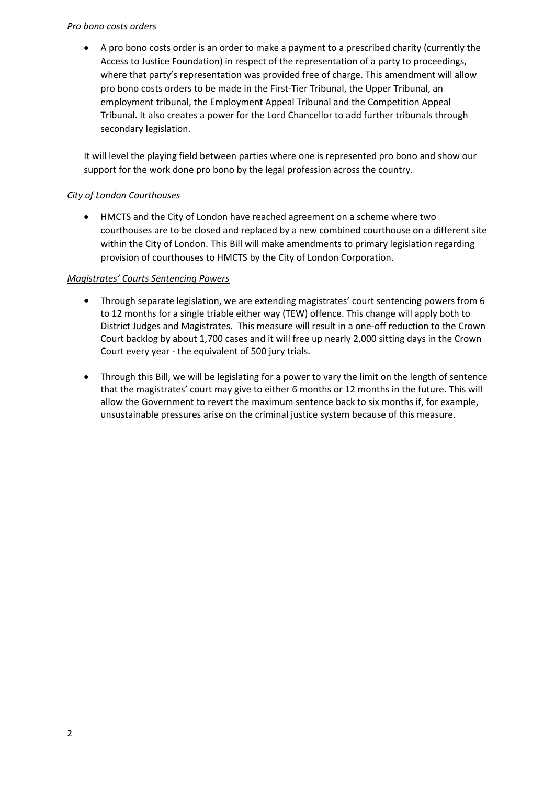### *Pro bono costs orders*

• A pro bono costs order is an order to make a payment to a prescribed charity (currently the Access to Justice Foundation) in respect of the representation of a party to proceedings, where that party's representation was provided free of charge. This amendment will allow pro bono costs orders to be made in the First-Tier Tribunal, the Upper Tribunal, an employment tribunal, the Employment Appeal Tribunal and the Competition Appeal Tribunal. It also creates a power for the Lord Chancellor to add further tribunals through secondary legislation.

It will level the playing field between parties where one is represented pro bono and show our support for the work done pro bono by the legal profession across the country.

### *City of London Courthouses*

• HMCTS and the City of London have reached agreement on a scheme where two courthouses are to be closed and replaced by a new combined courthouse on a different site within the City of London. This Bill will make amendments to primary legislation regarding provision of courthouses to HMCTS by the City of London Corporation.

### *Magistrates' Courts Sentencing Powers*

- Through separate legislation, we are extending magistrates' court sentencing powers from 6 to 12 months for a single triable either way (TEW) offence. This change will apply both to District Judges and Magistrates. This measure will result in a one-off reduction to the Crown Court backlog by about 1,700 cases and it will free up nearly 2,000 sitting days in the Crown Court every year - the equivalent of 500 jury trials.
- Through this Bill, we will be legislating for a power to vary the limit on the length of sentence that the magistrates' court may give to either 6 months or 12 months in the future. This will allow the Government to revert the maximum sentence back to six months if, for example, unsustainable pressures arise on the criminal justice system because of this measure.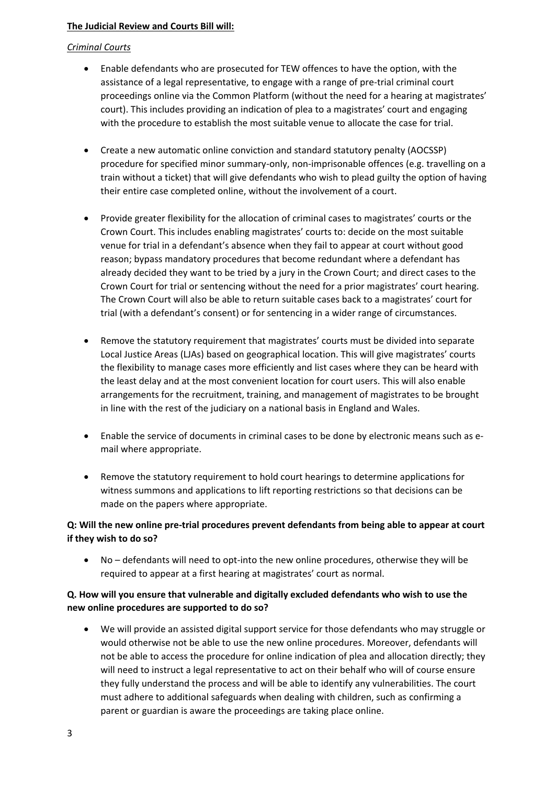#### **The Judicial Review and Courts Bill will:**

#### *Criminal Courts*

- Enable defendants who are prosecuted for TEW offences to have the option, with the assistance of a legal representative, to engage with a range of pre-trial criminal court proceedings online via the Common Platform (without the need for a hearing at magistrates' court). This includes providing an indication of plea to a magistrates' court and engaging with the procedure to establish the most suitable venue to allocate the case for trial.
- Create a new automatic online conviction and standard statutory penalty (AOCSSP) procedure for specified minor summary-only, non-imprisonable offences (e.g. travelling on a train without a ticket) that will give defendants who wish to plead guilty the option of having their entire case completed online, without the involvement of a court.
- Provide greater flexibility for the allocation of criminal cases to magistrates' courts or the Crown Court. This includes enabling magistrates' courts to: decide on the most suitable venue for trial in a defendant's absence when they fail to appear at court without good reason; bypass mandatory procedures that become redundant where a defendant has already decided they want to be tried by a jury in the Crown Court; and direct cases to the Crown Court for trial or sentencing without the need for a prior magistrates' court hearing. The Crown Court will also be able to return suitable cases back to a magistrates' court for trial (with a defendant's consent) or for sentencing in a wider range of circumstances.
- Remove the statutory requirement that magistrates' courts must be divided into separate Local Justice Areas (LJAs) based on geographical location. This will give magistrates' courts the flexibility to manage cases more efficiently and list cases where they can be heard with the least delay and at the most convenient location for court users. This will also enable arrangements for the recruitment, training, and management of magistrates to be brought in line with the rest of the judiciary on a national basis in England and Wales.
- Enable the service of documents in criminal cases to be done by electronic means such as email where appropriate.
- Remove the statutory requirement to hold court hearings to determine applications for witness summons and applications to lift reporting restrictions so that decisions can be made on the papers where appropriate.

### **Q: Will the new online pre-trial procedures prevent defendants from being able to appear at court if they wish to do so?**

• No – defendants will need to opt-into the new online procedures, otherwise they will be required to appear at a first hearing at magistrates' court as normal.

### **Q. How will you ensure that vulnerable and digitally excluded defendants who wish to use the new online procedures are supported to do so?**

• We will provide an assisted digital support service for those defendants who may struggle or would otherwise not be able to use the new online procedures. Moreover, defendants will not be able to access the procedure for online indication of plea and allocation directly; they will need to instruct a legal representative to act on their behalf who will of course ensure they fully understand the process and will be able to identify any vulnerabilities. The court must adhere to additional safeguards when dealing with children, such as confirming a parent or guardian is aware the proceedings are taking place online.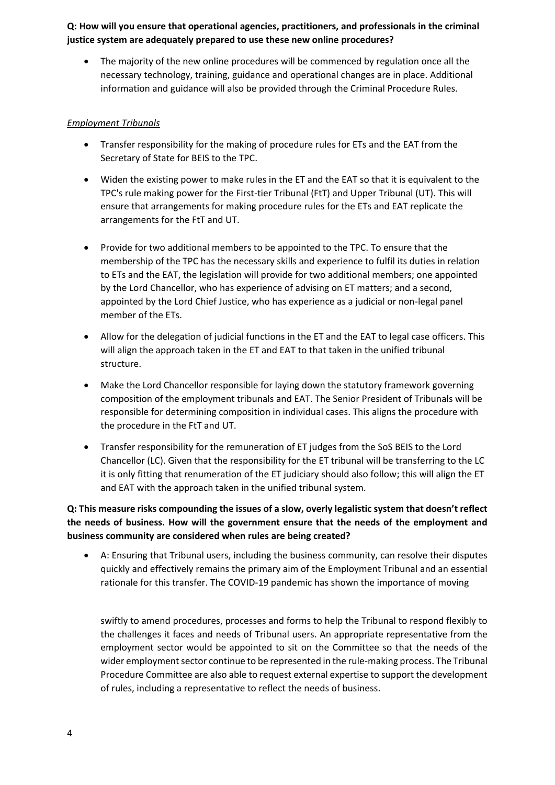**Q: How will you ensure that operational agencies, practitioners, and professionals in the criminal justice system are adequately prepared to use these new online procedures?**

The majority of the new online procedures will be commenced by regulation once all the necessary technology, training, guidance and operational changes are in place. Additional information and guidance will also be provided through the Criminal Procedure Rules.

#### *Employment Tribunals*

- Transfer responsibility for the making of procedure rules for ETs and the EAT from the Secretary of State for BEIS to the TPC.
- Widen the existing power to make rules in the ET and the EAT so that it is equivalent to the TPC's rule making power for the First-tier Tribunal (FtT) and Upper Tribunal (UT). This will ensure that arrangements for making procedure rules for the ETs and EAT replicate the arrangements for the FtT and UT.
- Provide for two additional members to be appointed to the TPC. To ensure that the membership of the TPC has the necessary skills and experience to fulfil its duties in relation to ETs and the EAT, the legislation will provide for two additional members; one appointed by the Lord Chancellor, who has experience of advising on ET matters; and a second, appointed by the Lord Chief Justice, who has experience as a judicial or non-legal panel member of the ETs.
- Allow for the delegation of judicial functions in the ET and the EAT to legal case officers. This will align the approach taken in the ET and EAT to that taken in the unified tribunal structure.
- Make the Lord Chancellor responsible for laying down the statutory framework governing composition of the employment tribunals and EAT. The Senior President of Tribunals will be responsible for determining composition in individual cases. This aligns the procedure with the procedure in the FtT and UT.
- Transfer responsibility for the remuneration of ET judges from the SoS BEIS to the Lord Chancellor (LC). Given that the responsibility for the ET tribunal will be transferring to the LC it is only fitting that renumeration of the ET judiciary should also follow; this will align the ET and EAT with the approach taken in the unified tribunal system.

## **Q: This measure risks compounding the issues of a slow, overly legalistic system that doesn't reflect the needs of business. How will the government ensure that the needs of the employment and business community are considered when rules are being created?**

• A: Ensuring that Tribunal users, including the business community, can resolve their disputes quickly and effectively remains the primary aim of the Employment Tribunal and an essential rationale for this transfer. The COVID-19 pandemic has shown the importance of moving

swiftly to amend procedures, processes and forms to help the Tribunal to respond flexibly to the challenges it faces and needs of Tribunal users. An appropriate representative from the employment sector would be appointed to sit on the Committee so that the needs of the wider employment sector continue to be represented in the rule-making process. The Tribunal Procedure Committee are also able to request external expertise to support the development of rules, including a representative to reflect the needs of business.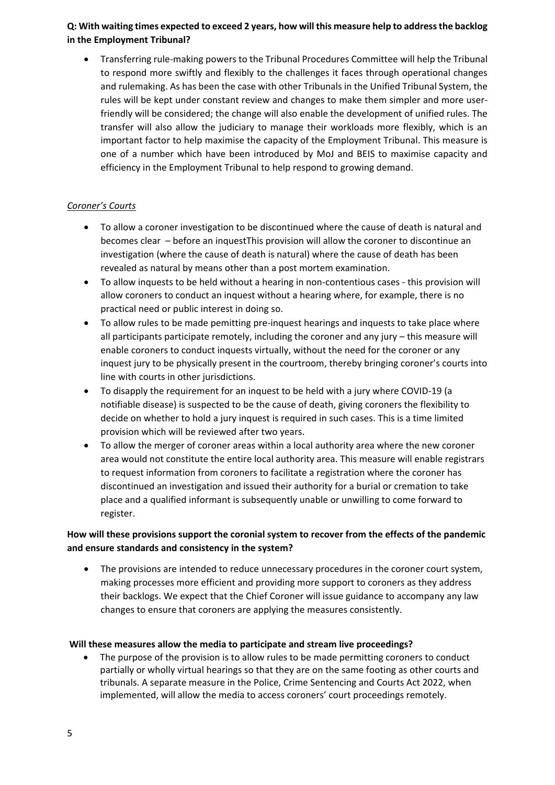## **Q: With waiting times expected to exceed 2 years, how will this measure help to address the backlog in the Employment Tribunal?**

• Transferring rule-making powers to the Tribunal Procedures Committee will help the Tribunal to respond more swiftly and flexibly to the challenges it faces through operational changes and rulemaking. As has been the case with other Tribunals in the Unified Tribunal System, the rules will be kept under constant review and changes to make them simpler and more userfriendly will be considered; the change will also enable the development of unified rules. The transfer will also allow the judiciary to manage their workloads more flexibly, which is an important factor to help maximise the capacity of the Employment Tribunal. This measure is one of a number which have been introduced by MoJ and BEIS to maximise capacity and efficiency in the Employment Tribunal to help respond to growing demand.

# *Coroner's Courts*

- To allow a coroner investigation to be discontinued where the cause of death is natural and becomes clear – before an inquestThis provision will allow the coroner to discontinue an investigation (where the cause of death is natural) where the cause of death has been revealed as natural by means other than a post mortem examination.
- To allow inquests to be held without a hearing in non-contentious cases this provision will allow coroners to conduct an inquest without a hearing where, for example, there is no practical need or public interest in doing so.
- To allow rules to be made pemitting pre-inquest hearings and inquests to take place where all participants participate remotely, including the coroner and any jury – this measure will enable coroners to conduct inquests virtually, without the need for the coroner or any inquest jury to be physically present in the courtroom, thereby bringing coroner's courts into line with courts in other jurisdictions.
- To disapply the requirement for an inquest to be held with a jury where COVID-19 (a notifiable disease) is suspected to be the cause of death, giving coroners the flexibility to decide on whether to hold a jury inquest is required in such cases. This is a time limited provision which will be reviewed after two years.
- To allow the merger of coroner areas within a local authority area where the new coroner area would not constitute the entire local authority area. This measure will enable registrars to request information from coroners to facilitate a registration where the coroner has discontinued an investigation and issued their authority for a burial or cremation to take place and a qualified informant is subsequently unable or unwilling to come forward to register.

# **How will these provisions support the coronial system to recover from the effects of the pandemic and ensure standards and consistency in the system?**

• The provisions are intended to reduce unnecessary procedures in the coroner court system, making processes more efficient and providing more support to coroners as they address their backlogs. We expect that the Chief Coroner will issue guidance to accompany any law changes to ensure that coroners are applying the measures consistently.

### **Will these measures allow the media to participate and stream live proceedings?**

The purpose of the provision is to allow rules to be made permitting coroners to conduct partially or wholly virtual hearings so that they are on the same footing as other courts and tribunals. A separate measure in the Police, Crime Sentencing and Courts Act 2022, when implemented, will allow the media to access coroners' court proceedings remotely.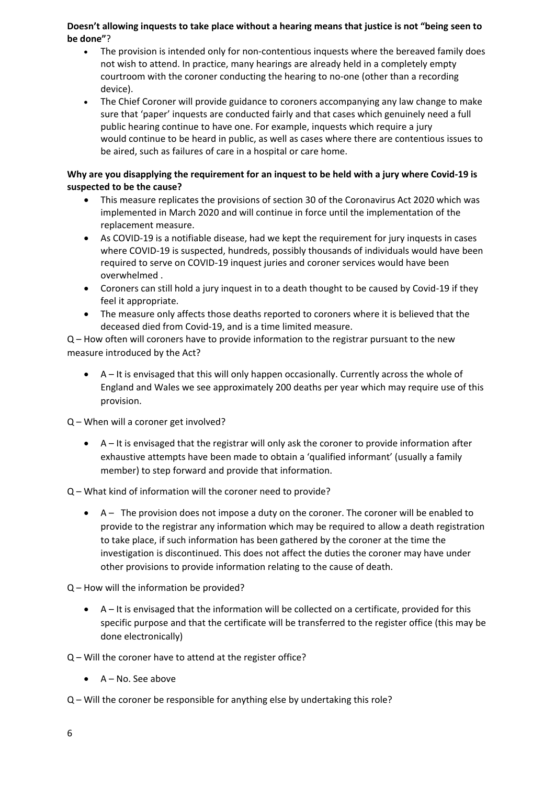### **Doesn't allowing inquests to take place without a hearing means that justice is not "being seen to be done"**?

- The provision is intended only for non-contentious inquests where the bereaved family does not wish to attend. In practice, many hearings are already held in a completely empty courtroom with the coroner conducting the hearing to no-one (other than a recording device).
- The Chief Coroner will provide guidance to coroners accompanying any law change to make sure that 'paper' inquests are conducted fairly and that cases which genuinely need a full public hearing continue to have one. For example, inquests which require a jury would continue to be heard in public, as well as cases where there are contentious issues to be aired, such as failures of care in a hospital or care home.

### **Why are you disapplying the requirement for an inquest to be held with a jury where Covid-19 is suspected to be the cause?**

- This measure replicates the provisions of section 30 of the Coronavirus Act 2020 which was implemented in March 2020 and will continue in force until the implementation of the replacement measure.
- As COVID-19 is a notifiable disease, had we kept the requirement for jury inquests in cases where COVID-19 is suspected, hundreds, possibly thousands of individuals would have been required to serve on COVID-19 inquest juries and coroner services would have been overwhelmed .
- Coroners can still hold a jury inquest in to a death thought to be caused by Covid-19 if they feel it appropriate.
- The measure only affects those deaths reported to coroners where it is believed that the deceased died from Covid-19, and is a time limited measure.

Q – How often will coroners have to provide information to the registrar pursuant to the new measure introduced by the Act?

• A – It is envisaged that this will only happen occasionally. Currently across the whole of England and Wales we see approximately 200 deaths per year which may require use of this provision.

Q – When will a coroner get involved?

• A – It is envisaged that the registrar will only ask the coroner to provide information after exhaustive attempts have been made to obtain a 'qualified informant' (usually a family member) to step forward and provide that information.

# Q – What kind of information will the coroner need to provide?

• A – The provision does not impose a duty on the coroner. The coroner will be enabled to provide to the registrar any information which may be required to allow a death registration to take place, if such information has been gathered by the coroner at the time the investigation is discontinued. This does not affect the duties the coroner may have under other provisions to provide information relating to the cause of death.

Q – How will the information be provided?

• A – It is envisaged that the information will be collected on a certificate, provided for this specific purpose and that the certificate will be transferred to the register office (this may be done electronically)

Q – Will the coroner have to attend at the register office?

- A No. See above
- Q Will the coroner be responsible for anything else by undertaking this role?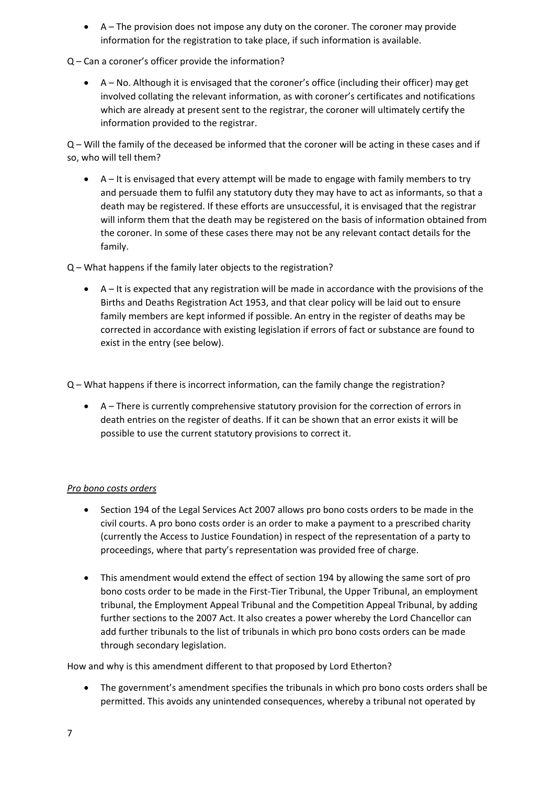• A – The provision does not impose any duty on the coroner. The coroner may provide information for the registration to take place, if such information is available.

Q – Can a coroner's officer provide the information?

• A – No. Although it is envisaged that the coroner's office (including their officer) may get involved collating the relevant information, as with coroner's certificates and notifications which are already at present sent to the registrar, the coroner will ultimately certify the information provided to the registrar.

Q – Will the family of the deceased be informed that the coroner will be acting in these cases and if so, who will tell them?

• A – It is envisaged that every attempt will be made to engage with family members to try and persuade them to fulfil any statutory duty they may have to act as informants, so that a death may be registered. If these efforts are unsuccessful, it is envisaged that the registrar will inform them that the death may be registered on the basis of information obtained from the coroner. In some of these cases there may not be any relevant contact details for the family.

Q – What happens if the family later objects to the registration?

• A – It is expected that any registration will be made in accordance with the provisions of the Births and Deaths Registration Act 1953, and that clear policy will be laid out to ensure family members are kept informed if possible. An entry in the register of deaths may be corrected in accordance with existing legislation if errors of fact or substance are found to exist in the entry (see below).

Q – What happens if there is incorrect information, can the family change the registration?

• A – There is currently comprehensive statutory provision for the correction of errors in death entries on the register of deaths. If it can be shown that an error exists it will be possible to use the current statutory provisions to correct it.

# *Pro bono costs orders*

- Section 194 of the Legal Services Act 2007 allows pro bono costs orders to be made in the civil courts. A pro bono costs order is an order to make a payment to a prescribed charity (currently the Access to Justice Foundation) in respect of the representation of a party to proceedings, where that party's representation was provided free of charge.
- This amendment would extend the effect of section 194 by allowing the same sort of pro bono costs order to be made in the First-Tier Tribunal, the Upper Tribunal, an employment tribunal, the Employment Appeal Tribunal and the Competition Appeal Tribunal, by adding further sections to the 2007 Act. It also creates a power whereby the Lord Chancellor can add further tribunals to the list of tribunals in which pro bono costs orders can be made through secondary legislation.

How and why is this amendment different to that proposed by Lord Etherton?

• The government's amendment specifies the tribunals in which pro bono costs orders shall be permitted. This avoids any unintended consequences, whereby a tribunal not operated by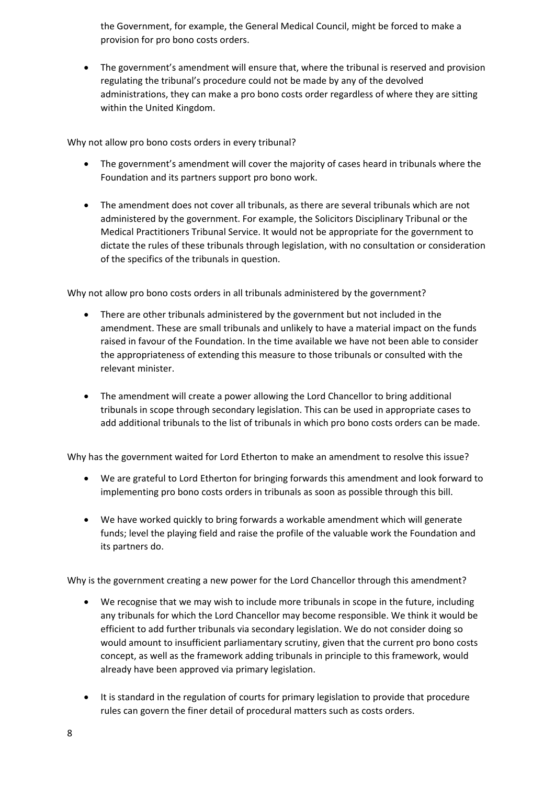the Government, for example, the General Medical Council, might be forced to make a provision for pro bono costs orders.

• The government's amendment will ensure that, where the tribunal is reserved and provision regulating the tribunal's procedure could not be made by any of the devolved administrations, they can make a pro bono costs order regardless of where they are sitting within the United Kingdom.

Why not allow pro bono costs orders in every tribunal?

- The government's amendment will cover the majority of cases heard in tribunals where the Foundation and its partners support pro bono work.
- The amendment does not cover all tribunals, as there are several tribunals which are not administered by the government. For example, the Solicitors Disciplinary Tribunal or the Medical Practitioners Tribunal Service. It would not be appropriate for the government to dictate the rules of these tribunals through legislation, with no consultation or consideration of the specifics of the tribunals in question.

Why not allow pro bono costs orders in all tribunals administered by the government?

- There are other tribunals administered by the government but not included in the amendment. These are small tribunals and unlikely to have a material impact on the funds raised in favour of the Foundation. In the time available we have not been able to consider the appropriateness of extending this measure to those tribunals or consulted with the relevant minister.
- The amendment will create a power allowing the Lord Chancellor to bring additional tribunals in scope through secondary legislation. This can be used in appropriate cases to add additional tribunals to the list of tribunals in which pro bono costs orders can be made.

Why has the government waited for Lord Etherton to make an amendment to resolve this issue?

- We are grateful to Lord Etherton for bringing forwards this amendment and look forward to implementing pro bono costs orders in tribunals as soon as possible through this bill.
- We have worked quickly to bring forwards a workable amendment which will generate funds; level the playing field and raise the profile of the valuable work the Foundation and its partners do.

Why is the government creating a new power for the Lord Chancellor through this amendment?

- We recognise that we may wish to include more tribunals in scope in the future, including any tribunals for which the Lord Chancellor may become responsible. We think it would be efficient to add further tribunals via secondary legislation. We do not consider doing so would amount to insufficient parliamentary scrutiny, given that the current pro bono costs concept, as well as the framework adding tribunals in principle to this framework, would already have been approved via primary legislation.
- It is standard in the regulation of courts for primary legislation to provide that procedure rules can govern the finer detail of procedural matters such as costs orders.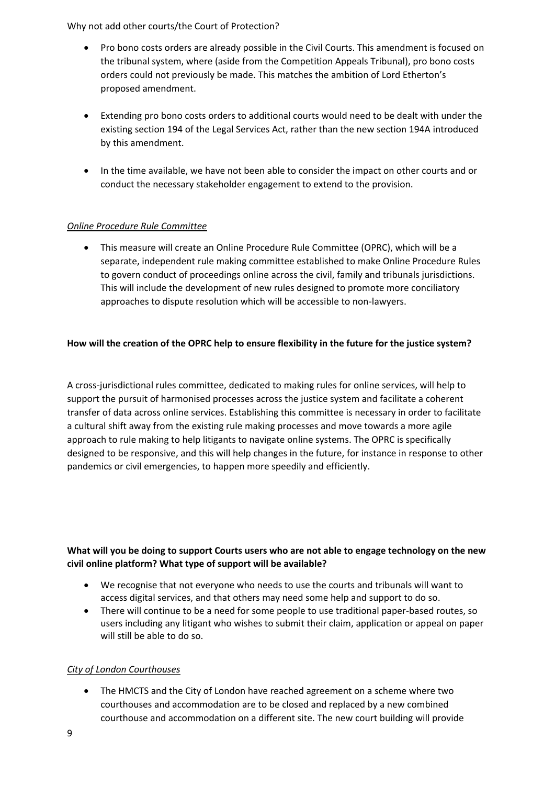Why not add other courts/the Court of Protection?

- Pro bono costs orders are already possible in the Civil Courts. This amendment is focused on the tribunal system, where (aside from the Competition Appeals Tribunal), pro bono costs orders could not previously be made. This matches the ambition of Lord Etherton's proposed amendment.
- Extending pro bono costs orders to additional courts would need to be dealt with under the existing section 194 of the Legal Services Act, rather than the new section 194A introduced by this amendment.
- In the time available, we have not been able to consider the impact on other courts and or conduct the necessary stakeholder engagement to extend to the provision.

## *Online Procedure Rule Committee*

• This measure will create an Online Procedure Rule Committee (OPRC), which will be a separate, independent rule making committee established to make Online Procedure Rules to govern conduct of proceedings online across the civil, family and tribunals jurisdictions. This will include the development of new rules designed to promote more conciliatory approaches to dispute resolution which will be accessible to non-lawyers.

## **How will the creation of the OPRC help to ensure flexibility in the future for the justice system?**

A cross-jurisdictional rules committee, dedicated to making rules for online services, will help to support the pursuit of harmonised processes across the justice system and facilitate a coherent transfer of data across online services. Establishing this committee is necessary in order to facilitate a cultural shift away from the existing rule making processes and move towards a more agile approach to rule making to help litigants to navigate online systems. The OPRC is specifically designed to be responsive, and this will help changes in the future, for instance in response to other pandemics or civil emergencies, to happen more speedily and efficiently.

# **What will you be doing to support Courts users who are not able to engage technology on the new civil online platform? What type of support will be available?**

- We recognise that not everyone who needs to use the courts and tribunals will want to access digital services, and that others may need some help and support to do so.
- There will continue to be a need for some people to use traditional paper-based routes, so users including any litigant who wishes to submit their claim, application or appeal on paper will still be able to do so.

### *City of London Courthouses*

• The HMCTS and the City of London have reached agreement on a scheme where two courthouses and accommodation are to be closed and replaced by a new combined courthouse and accommodation on a different site. The new court building will provide